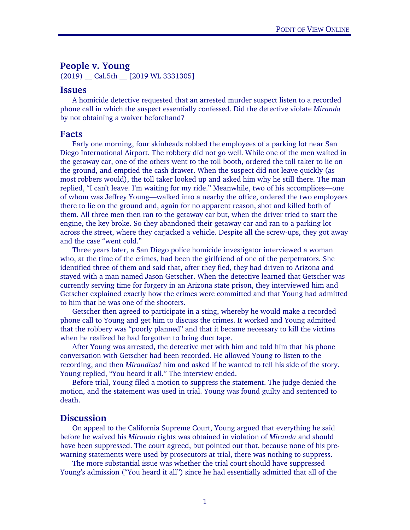# People v. Young

(2019) Cal.5th [2019 WL 3331305]

#### Issues

A homicide detective requested that an arrested murder suspect listen to a recorded phone call in which the suspect essentially confessed. Did the detective violate *Miranda* by not obtaining a waiver beforehand?

## Facts

 Early one morning, four skinheads robbed the employees of a parking lot near San Diego International Airport. The robbery did not go well. While one of the men waited in the getaway car, one of the others went to the toll booth, ordered the toll taker to lie on the ground, and emptied the cash drawer. When the suspect did not leave quickly (as most robbers would), the toll taker looked up and asked him why he still there. The man replied, "I can't leave. I'm waiting for my ride." Meanwhile, two of his accomplices—one of whom was Jeffrey Young—walked into a nearby the office, ordered the two employees there to lie on the ground and, again for no apparent reason, shot and killed both of them. All three men then ran to the getaway car but, when the driver tried to start the engine, the key broke. So they abandoned their getaway car and ran to a parking lot across the street, where they carjacked a vehicle. Despite all the screw-ups, they got away and the case "went cold."

 Three years later, a San Diego police homicide investigator interviewed a woman who, at the time of the crimes, had been the girlfriend of one of the perpetrators. She identified three of them and said that, after they fled, they had driven to Arizona and stayed with a man named Jason Getscher. When the detective learned that Getscher was currently serving time for forgery in an Arizona state prison, they interviewed him and Getscher explained exactly how the crimes were committed and that Young had admitted to him that he was one of the shooters.

Getscher then agreed to participate in a sting, whereby he would make a recorded phone call to Young and get him to discuss the crimes. It worked and Young admitted that the robbery was "poorly planned" and that it became necessary to kill the victims when he realized he had forgotten to bring duct tape.

 After Young was arrested, the detective met with him and told him that his phone conversation with Getscher had been recorded. He allowed Young to listen to the recording, and then *Mirandized* him and asked if he wanted to tell his side of the story. Young replied, "You heard it all." The interview ended.

 Before trial, Young filed a motion to suppress the statement. The judge denied the motion, and the statement was used in trial. Young was found guilty and sentenced to death.

#### **Discussion**

On appeal to the California Supreme Court, Young argued that everything he said before he waived his *Miranda* rights was obtained in violation of *Miranda* and should have been suppressed. The court agreed, but pointed out that, because none of his prewarning statements were used by prosecutors at trial, there was nothing to suppress.

The more substantial issue was whether the trial court should have suppressed Young's admission ("You heard it all") since he had essentially admitted that all of the